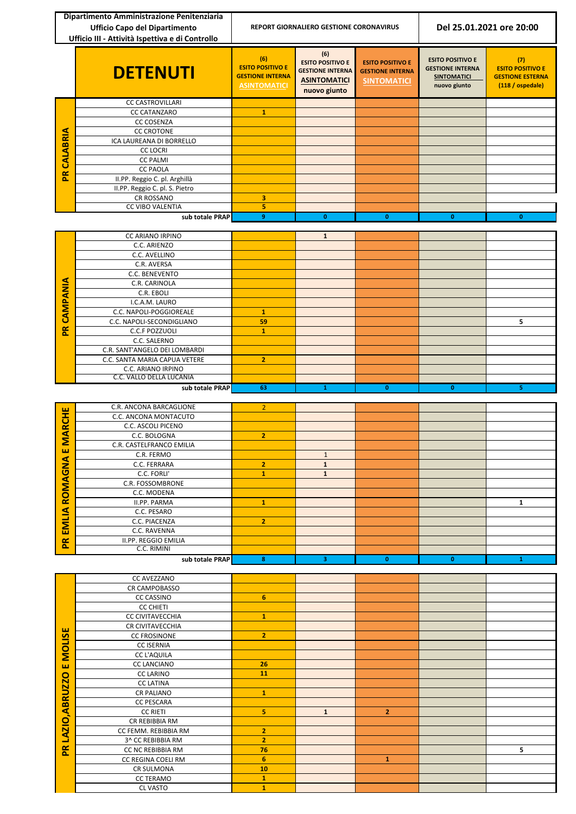|                | Dipartimento Amministrazione Penitenziaria<br><b>Ufficio Capo del Dipartimento</b><br>Ufficio III - Attività Ispettiva e di Controllo | <b>REPORT GIORNALIERO GESTIONE CORONAVIRUS</b>                                   |                                                                                                  | Del 25.01.2021 ore 20:00                                                 |                                                                                          |                                                                               |
|----------------|---------------------------------------------------------------------------------------------------------------------------------------|----------------------------------------------------------------------------------|--------------------------------------------------------------------------------------------------|--------------------------------------------------------------------------|------------------------------------------------------------------------------------------|-------------------------------------------------------------------------------|
|                | <b>DETENUTI</b>                                                                                                                       | (6)<br><b>ESITO POSITIVO E</b><br><b>GESTIONE INTERNA</b><br><b>ASINTOMATICI</b> | (6)<br><b>ESITO POSITIVO E</b><br><b>GESTIONE INTERNA</b><br><b>ASINTOMATICI</b><br>nuovo giunto | <b>ESITO POSITIVO E</b><br><b>GESTIONE INTERNA</b><br><b>SINTOMATICI</b> | <b>ESITO POSITIVO E</b><br><b>GESTIONE INTERNA</b><br><b>SINTOMATICI</b><br>nuovo giunto | (7)<br><b>ESITO POSITIVO E</b><br><b>GESTIONE ESTERNA</b><br>(118 / ospedale) |
|                | <b>CC CASTROVILLARI</b>                                                                                                               |                                                                                  |                                                                                                  |                                                                          |                                                                                          |                                                                               |
|                | <b>CC CATANZARO</b>                                                                                                                   | $\mathbf{1}$                                                                     |                                                                                                  |                                                                          |                                                                                          |                                                                               |
|                | <b>CC COSENZA</b><br><b>CC CROTONE</b>                                                                                                |                                                                                  |                                                                                                  |                                                                          |                                                                                          |                                                                               |
|                | ICA LAUREANA DI BORRELLO                                                                                                              |                                                                                  |                                                                                                  |                                                                          |                                                                                          |                                                                               |
| CALABRIA       | <b>CC LOCRI</b>                                                                                                                       |                                                                                  |                                                                                                  |                                                                          |                                                                                          |                                                                               |
|                | <b>CC PALMI</b>                                                                                                                       |                                                                                  |                                                                                                  |                                                                          |                                                                                          |                                                                               |
| $\mathbf{R}$   | <b>CC PAOLA</b><br>II.PP. Reggio C. pl. Arghillà                                                                                      |                                                                                  |                                                                                                  |                                                                          |                                                                                          |                                                                               |
|                | II.PP. Reggio C. pl. S. Pietro                                                                                                        |                                                                                  |                                                                                                  |                                                                          |                                                                                          |                                                                               |
|                | CR ROSSANO                                                                                                                            | 3                                                                                |                                                                                                  |                                                                          |                                                                                          |                                                                               |
|                | <b>CC VIBO VALENTIA</b>                                                                                                               | 5                                                                                |                                                                                                  |                                                                          |                                                                                          |                                                                               |
|                | sub totale PRAP                                                                                                                       | 9                                                                                | $\mathbf{0}$                                                                                     | $\mathbf{0}$                                                             | $\mathbf{0}$                                                                             | $\mathbf{0}$                                                                  |
|                | CC ARIANO IRPINO                                                                                                                      |                                                                                  | $\mathbf{1}$                                                                                     |                                                                          |                                                                                          |                                                                               |
|                | C.C. ARIENZO                                                                                                                          |                                                                                  |                                                                                                  |                                                                          |                                                                                          |                                                                               |
|                | C.C. AVELLINO                                                                                                                         |                                                                                  |                                                                                                  |                                                                          |                                                                                          |                                                                               |
|                | C.R. AVERSA<br>C.C. BENEVENTO                                                                                                         |                                                                                  |                                                                                                  |                                                                          |                                                                                          |                                                                               |
|                | C.R. CARINOLA                                                                                                                         |                                                                                  |                                                                                                  |                                                                          |                                                                                          |                                                                               |
| CAMPANIA       | C.R. EBOLI                                                                                                                            |                                                                                  |                                                                                                  |                                                                          |                                                                                          |                                                                               |
|                | I.C.A.M. LAURO                                                                                                                        |                                                                                  |                                                                                                  |                                                                          |                                                                                          |                                                                               |
|                | C.C. NAPOLI-POGGIOREALE<br>C.C. NAPOLI-SECONDIGLIANO                                                                                  | $\mathbf{1}$<br>59                                                               |                                                                                                  |                                                                          |                                                                                          | 5                                                                             |
| $\alpha$<br>۵  | C.C.F POZZUOLI                                                                                                                        | $\mathbf{1}$                                                                     |                                                                                                  |                                                                          |                                                                                          |                                                                               |
|                | C.C. SALERNO                                                                                                                          |                                                                                  |                                                                                                  |                                                                          |                                                                                          |                                                                               |
|                | C.R. SANT'ANGELO DEI LOMBARDI                                                                                                         |                                                                                  |                                                                                                  |                                                                          |                                                                                          |                                                                               |
|                | C.C. SANTA MARIA CAPUA VETERE<br>C.C. ARIANO IRPINO                                                                                   | $\overline{2}$                                                                   |                                                                                                  |                                                                          |                                                                                          |                                                                               |
|                | C.C. VALLO DELLA LUCANIA                                                                                                              |                                                                                  |                                                                                                  |                                                                          |                                                                                          |                                                                               |
|                | sub totale PRAP                                                                                                                       | 63                                                                               | $\mathbf{1}$                                                                                     | $\mathbf{0}$                                                             | $\overline{\mathbf{0}}$                                                                  | 5                                                                             |
|                |                                                                                                                                       |                                                                                  |                                                                                                  |                                                                          |                                                                                          |                                                                               |
|                | C.R. ANCONA BARCAGLIONE<br>C.C. ANCONA MONTACUTO                                                                                      | $\overline{2}$                                                                   |                                                                                                  |                                                                          |                                                                                          |                                                                               |
|                | C.C. ASCOLI PICENO                                                                                                                    |                                                                                  |                                                                                                  |                                                                          |                                                                                          |                                                                               |
| <b>MARCHE</b>  | C.C. BOLOGNA                                                                                                                          | $\overline{2}$                                                                   |                                                                                                  |                                                                          |                                                                                          |                                                                               |
| ш              | C.R. CASTELFRANCO EMILIA                                                                                                              |                                                                                  |                                                                                                  |                                                                          |                                                                                          |                                                                               |
|                | C.R. FERMO<br>C.C. FERRARA                                                                                                            | $\overline{2}$                                                                   | $\mathbf{1}$<br>$\mathbf{1}$                                                                     |                                                                          |                                                                                          |                                                                               |
|                | C.C. FORLI'                                                                                                                           | $\mathbf{1}$                                                                     | $\mathbf 1$                                                                                      |                                                                          |                                                                                          |                                                                               |
| ROMAGNA        | C.R. FOSSOMBRONE                                                                                                                      |                                                                                  |                                                                                                  |                                                                          |                                                                                          |                                                                               |
|                | C.C. MODENA                                                                                                                           |                                                                                  |                                                                                                  |                                                                          |                                                                                          |                                                                               |
|                | II.PP. PARMA<br>C.C. PESARO                                                                                                           | $\mathbf{1}$                                                                     |                                                                                                  |                                                                          |                                                                                          | $\mathbf{1}$                                                                  |
| EMLIA          | C.C. PIACENZA                                                                                                                         | $\overline{2}$                                                                   |                                                                                                  |                                                                          |                                                                                          |                                                                               |
|                | C.C. RAVENNA                                                                                                                          |                                                                                  |                                                                                                  |                                                                          |                                                                                          |                                                                               |
| $\mathbf{g}$   | <b>II.PP. REGGIO EMILIA</b><br>C.C. RIMINI                                                                                            |                                                                                  |                                                                                                  |                                                                          |                                                                                          |                                                                               |
|                | sub totale PRAP                                                                                                                       | $\bf{8}$                                                                         | 3                                                                                                | $\mathbf{0}$                                                             | $\mathbf{0}$                                                                             | 1                                                                             |
|                |                                                                                                                                       |                                                                                  |                                                                                                  |                                                                          |                                                                                          |                                                                               |
|                | <b>CC AVEZZANO</b><br>CR CAMPOBASSO                                                                                                   |                                                                                  |                                                                                                  |                                                                          |                                                                                          |                                                                               |
|                | <b>CC CASSINO</b>                                                                                                                     | 6                                                                                |                                                                                                  |                                                                          |                                                                                          |                                                                               |
|                | <b>CC CHIETI</b>                                                                                                                      |                                                                                  |                                                                                                  |                                                                          |                                                                                          |                                                                               |
|                | CC CIVITAVECCHIA<br>CR CIVITAVECCHIA                                                                                                  | $\mathbf{1}$                                                                     |                                                                                                  |                                                                          |                                                                                          |                                                                               |
|                | <b>CC FROSINONE</b>                                                                                                                   | $\overline{2}$                                                                   |                                                                                                  |                                                                          |                                                                                          |                                                                               |
| <b>MOLISE</b>  | <b>CC ISERNIA</b>                                                                                                                     |                                                                                  |                                                                                                  |                                                                          |                                                                                          |                                                                               |
|                | <b>CC L'AQUILA</b>                                                                                                                    |                                                                                  |                                                                                                  |                                                                          |                                                                                          |                                                                               |
| ш              | <b>CC LANCIANO</b><br><b>CC LARINO</b>                                                                                                | 26<br>11                                                                         |                                                                                                  |                                                                          |                                                                                          |                                                                               |
| LAZIO, ABRUZZO | <b>CC LATINA</b>                                                                                                                      |                                                                                  |                                                                                                  |                                                                          |                                                                                          |                                                                               |
|                | <b>CR PALIANO</b>                                                                                                                     | $\mathbf{1}$                                                                     |                                                                                                  |                                                                          |                                                                                          |                                                                               |
|                | <b>CC PESCARA</b>                                                                                                                     |                                                                                  |                                                                                                  |                                                                          |                                                                                          |                                                                               |
|                | <b>CC RIETI</b><br>CR REBIBBIA RM                                                                                                     | 5                                                                                | $\mathbf 1$                                                                                      | $\overline{2}$                                                           |                                                                                          |                                                                               |
|                | CC FEMM. REBIBBIA RM                                                                                                                  | $\overline{2}$                                                                   |                                                                                                  |                                                                          |                                                                                          |                                                                               |
|                | 3^ CC REBIBBIA RM                                                                                                                     | $\overline{2}$                                                                   |                                                                                                  |                                                                          |                                                                                          |                                                                               |
| $\mathbf{R}$   | CC NC REBIBBIA RM                                                                                                                     | 76                                                                               |                                                                                                  |                                                                          |                                                                                          | 5                                                                             |
|                | CC REGINA COELI RM<br>CR SULMONA                                                                                                      | $6\phantom{1}6$<br>10                                                            |                                                                                                  | $\mathbf{1}$                                                             |                                                                                          |                                                                               |
|                | <b>CC TERAMO</b>                                                                                                                      | $\mathbf{1}$                                                                     |                                                                                                  |                                                                          |                                                                                          |                                                                               |
|                | <b>CL VASTO</b>                                                                                                                       | $\mathbf{1}$                                                                     |                                                                                                  |                                                                          |                                                                                          |                                                                               |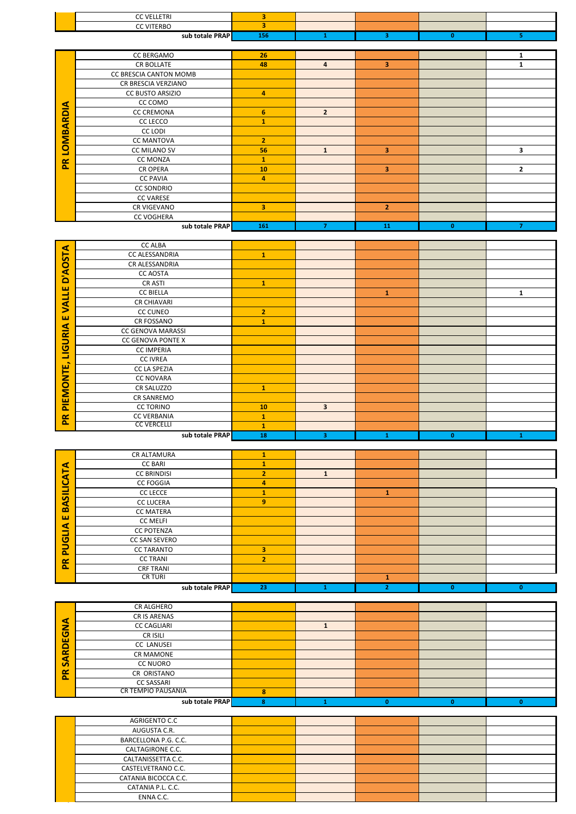| AGRIGENTO C.C        |  |  |  |
|----------------------|--|--|--|
| AUGUSTA C.R.         |  |  |  |
| BARCELLONA P.G. C.C. |  |  |  |
| CALTAGIRONE C.C.     |  |  |  |
| CALTANISSETTA C.C.   |  |  |  |
| CASTELVETRANO C.C.   |  |  |  |
| CATANIA BICOCCA C.C. |  |  |  |
| CATANIA P.L. C.C.    |  |  |  |
| ENNA C.C.            |  |  |  |

|                | sub totale PRAPI   | 23 |   | o | o |
|----------------|--------------------|----|---|---|---|
|                |                    |    |   |   |   |
|                | CR ALGHERO         |    |   |   |   |
|                | CR IS ARENAS       |    |   |   |   |
| ⋖<br>-<br>ε.   | <b>CC CAGLIARI</b> |    |   |   |   |
| EG             | CR ISILI           |    |   |   |   |
| <b>Q</b>       | CC LANUSEI         |    |   |   |   |
|                | <b>CR MAMONE</b>   |    |   |   |   |
| ব<br><b>vi</b> | <b>CC NUORO</b>    |    |   |   |   |
| PR             | CR ORISTANO        |    |   |   |   |
|                | <b>CC SASSARI</b>  |    |   |   |   |
|                | CR TEMPIO PAUSANIA | 8  |   |   |   |
|                | sub totale PRAP    | 8  | n |   |   |

|                               | CR ALTAMURA          |                |   |                         |              |          |
|-------------------------------|----------------------|----------------|---|-------------------------|--------------|----------|
| ⋖                             | <b>CC BARI</b>       |                |   |                         |              |          |
| н<br><b>CT</b>                | <b>CC BRINDISI</b>   | $\overline{2}$ | 1 |                         |              |          |
| <u>پ</u>                      | <b>CC FOGGIA</b>     | 4              |   |                         |              |          |
| ᅴ<br>$\overline{\phantom{a}}$ | <b>CC LECCE</b>      |                |   |                         |              |          |
| S<br>⋖                        | <b>CC LUCERA</b>     | 9              |   |                         |              |          |
| m                             | <b>CC MATERA</b>     |                |   |                         |              |          |
| ш                             | <b>CC MELFI</b>      |                |   |                         |              |          |
| ⋖<br>-                        | <b>CC POTENZA</b>    |                |   |                         |              |          |
| ပ                             | <b>CC SAN SEVERO</b> |                |   |                         |              |          |
| ∍<br><b>P.</b>                | <b>CC TARANTO</b>    | 3              |   |                         |              |          |
| $\approx$                     | <b>CC TRANI</b>      | $\overline{2}$ |   |                         |              |          |
| Δ.                            | <b>CRF TRANI</b>     |                |   |                         |              |          |
|                               | <b>CR TURI</b>       |                |   |                         |              |          |
|                               | sub totale PRAP      | 23             |   | $\overline{\mathbf{2}}$ | $\mathbf{0}$ | $\bf{0}$ |

|                    | <b>CC ALBA</b>           |                |                         |              |              |              |
|--------------------|--------------------------|----------------|-------------------------|--------------|--------------|--------------|
| <b>STA</b>         | CC ALESSANDRIA           | $\mathbf{1}$   |                         |              |              |              |
| Q                  | CR ALESSANDRIA           |                |                         |              |              |              |
| S                  | <b>CC AOSTA</b>          |                |                         |              |              |              |
| ۵                  | <b>CRASTI</b>            | $\mathbf{1}$   |                         |              |              |              |
| ш<br>┙             | <b>CC BIELLA</b>         |                |                         | $\mathbf{1}$ |              | 1            |
| -<br>Ś             | <b>CR CHIAVARI</b>       |                |                         |              |              |              |
|                    | <b>CC CUNEO</b>          | $\overline{2}$ |                         |              |              |              |
| ш                  | CR FOSSANO               | 1              |                         |              |              |              |
| URIA               | CC GENOVA MARASSI        |                |                         |              |              |              |
|                    | <b>CC GENOVA PONTE X</b> |                |                         |              |              |              |
| $\overline{2}$     | <b>CC IMPERIA</b>        |                |                         |              |              |              |
| ┙<br>$\rightarrow$ | <b>CC IVREA</b>          |                |                         |              |              |              |
| ш                  | <b>CC LA SPEZIA</b>      |                |                         |              |              |              |
| Ę                  | <b>CC NOVARA</b>         |                |                         |              |              |              |
| $\overline{Q}$     | CR SALUZZO               | T.             |                         |              |              |              |
|                    | CR SANREMO               |                |                         |              |              |              |
| 쁥                  | <b>CC TORINO</b>         | 10             | $\overline{\mathbf{3}}$ |              |              |              |
| ۴                  | <b>CC VERBANIA</b>       | $\mathbf{1}$   |                         |              |              |              |
|                    | <b>CC VERCELLI</b>       | 1              |                         |              |              |              |
|                    | sub totale PRAP          | 18             | 3                       | 1            | $\mathbf{0}$ | $\mathbf{1}$ |

|              | sub totale PRAP        | 156            | 1              | 3              | $\mathbf{0}$ | 5              |
|--------------|------------------------|----------------|----------------|----------------|--------------|----------------|
|              |                        |                |                |                |              |                |
|              | <b>CC BERGAMO</b>      | 26             |                |                |              | 1              |
|              | <b>CR BOLLATE</b>      | 48             | $\overline{4}$ | 3              |              | 1              |
|              | CC BRESCIA CANTON MOMB |                |                |                |              |                |
|              | CR BRESCIA VERZIANO    |                |                |                |              |                |
|              | CC BUSTO ARSIZIO       | 4              |                |                |              |                |
|              | CC COMO                |                |                |                |              |                |
|              | <b>CC CREMONA</b>      | 6              | $\overline{2}$ |                |              |                |
| LOMBARDIA    | CC LECCO               | 1              |                |                |              |                |
|              | CC LODI                |                |                |                |              |                |
|              | <b>CC MANTOVA</b>      | $\overline{2}$ |                |                |              |                |
|              | <b>CC MILANO SV</b>    | 56             | $\mathbf{1}$   | 3              |              | 3              |
| $\mathbf{R}$ | <b>CC MONZA</b>        | $\mathbf{1}$   |                |                |              |                |
|              | <b>CR OPERA</b>        | 10             |                | 3              |              | $\mathbf{2}$   |
|              | <b>CC PAVIA</b>        | 4              |                |                |              |                |
|              | <b>CC SONDRIO</b>      |                |                |                |              |                |
|              | <b>CC VARESE</b>       |                |                |                |              |                |
|              | CR VIGEVANO            | 3              |                | $\overline{2}$ |              |                |
|              | <b>CC VOGHERA</b>      |                |                |                |              |                |
|              | sub totale PRAP        | 161            | 7              | 11             | $\mathbf{0}$ | $\overline{7}$ |

| <b>CC VELLETRI</b><br><b>CC VITERBO</b> |  |  |  |
|-----------------------------------------|--|--|--|
|                                         |  |  |  |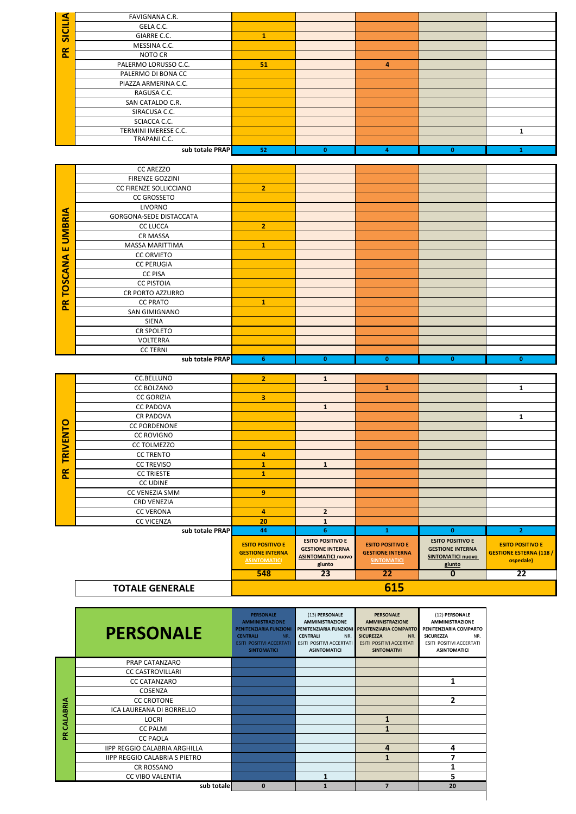|          | <b>PERSONALE</b>                     | <b>PERSONALE</b><br><b>AMMINISTRAZIONE</b><br><b>PENITENZIARIA FUNZIONI</b><br><b>CENTRALI</b><br>NR.<br><b>ESITI POSITIVI ACCERTATI</b><br><b>SINTOMATICI</b> | (13) PERSONALE<br><b>AMMINISTRAZIONE</b><br><b>CENTRALI</b><br>NR.<br><b>ESITI POSITIVI ACCERTATI</b><br><b>ASINTOMATICI</b> | <b>PERSONALE</b><br><b>AMMINISTRAZIONE</b><br>PENITENZIARIA FUNZIONI PENITENZIARIA COMPARTO<br><b>SICUREZZA</b><br>NR.<br><b>ESITI POSITIVI ACCERTATI</b><br><b>SINTOMATIVI</b> | (12) PERSONALE<br><b>AMMINISTRAZIONE</b><br>PENITENZIARIA COMPARTO<br>NR.<br><b>SICUREZZA</b><br>ESITI POSITIVI ACCERTATI<br><b>ASINTOMATICI</b> |
|----------|--------------------------------------|----------------------------------------------------------------------------------------------------------------------------------------------------------------|------------------------------------------------------------------------------------------------------------------------------|---------------------------------------------------------------------------------------------------------------------------------------------------------------------------------|--------------------------------------------------------------------------------------------------------------------------------------------------|
|          | PRAP CATANZARO                       |                                                                                                                                                                |                                                                                                                              |                                                                                                                                                                                 |                                                                                                                                                  |
|          | <b>CC CASTROVILLARI</b>              |                                                                                                                                                                |                                                                                                                              |                                                                                                                                                                                 |                                                                                                                                                  |
|          | <b>CC CATANZARO</b>                  |                                                                                                                                                                |                                                                                                                              |                                                                                                                                                                                 | 1                                                                                                                                                |
|          | COSENZA                              |                                                                                                                                                                |                                                                                                                              |                                                                                                                                                                                 |                                                                                                                                                  |
|          | <b>CC CROTONE</b>                    |                                                                                                                                                                |                                                                                                                              |                                                                                                                                                                                 | 2                                                                                                                                                |
| CALABRIA | ICA LAUREANA DI BORRELLO             |                                                                                                                                                                |                                                                                                                              |                                                                                                                                                                                 |                                                                                                                                                  |
|          | <b>LOCRI</b>                         |                                                                                                                                                                |                                                                                                                              | 1                                                                                                                                                                               |                                                                                                                                                  |
|          | <b>CC PALMI</b>                      |                                                                                                                                                                |                                                                                                                              | 1                                                                                                                                                                               |                                                                                                                                                  |
| Æ        | <b>CC PAOLA</b>                      |                                                                                                                                                                |                                                                                                                              |                                                                                                                                                                                 |                                                                                                                                                  |
|          | <b>IIPP REGGIO CALABRIA ARGHILLA</b> |                                                                                                                                                                |                                                                                                                              | 4                                                                                                                                                                               | 4                                                                                                                                                |
|          | <b>IIPP REGGIO CALABRIA S PIETRO</b> |                                                                                                                                                                |                                                                                                                              | 1                                                                                                                                                                               | 7                                                                                                                                                |
|          | <b>CR ROSSANO</b>                    |                                                                                                                                                                |                                                                                                                              |                                                                                                                                                                                 |                                                                                                                                                  |
|          | <b>CC VIBO VALENTIA</b>              |                                                                                                                                                                |                                                                                                                              |                                                                                                                                                                                 | 5                                                                                                                                                |
|          | sub totale                           | $\mathbf{0}$                                                                                                                                                   |                                                                                                                              | $\overline{7}$                                                                                                                                                                  | 20                                                                                                                                               |

|                 | <b>TOTALE GENERALE</b> |                                                                           |                                                                                           | 615                                                                      |                                                                                          |                                                                        |
|-----------------|------------------------|---------------------------------------------------------------------------|-------------------------------------------------------------------------------------------|--------------------------------------------------------------------------|------------------------------------------------------------------------------------------|------------------------------------------------------------------------|
|                 |                        | 548                                                                       | 23                                                                                        | 22                                                                       | $\bf{0}$                                                                                 | 22                                                                     |
|                 |                        | <b>ESITO POSITIVO E</b><br><b>GESTIONE INTERNA</b><br><b>ASINTOMATICI</b> | <b>ESITO POSITIVO E</b><br><b>GESTIONE INTERNA</b><br><b>ASINTOMATICI nuovo</b><br>giunto | <b>ESITO POSITIVO E</b><br><b>GESTIONE INTERNA</b><br><b>SINTOMATICI</b> | <b>ESITO POSITIVO E</b><br><b>GESTIONE INTERNA</b><br><b>SINTOMATICI nuovo</b><br>giunto | <b>ESITO POSITIVO E</b><br><b>GESTIONE ESTERNA (118 /</b><br>ospedale) |
|                 | sub totale PRAP        | 44                                                                        | 6                                                                                         | 1                                                                        | $\mathbf{0}$                                                                             | $\overline{2}$                                                         |
|                 | <b>CC VICENZA</b>      | 20                                                                        | $\mathbf{1}$                                                                              |                                                                          |                                                                                          |                                                                        |
|                 | <b>CC VERONA</b>       | $\overline{a}$                                                            | $\overline{2}$                                                                            |                                                                          |                                                                                          |                                                                        |
|                 | <b>CRD VENEZIA</b>     |                                                                           |                                                                                           |                                                                          |                                                                                          |                                                                        |
|                 | CC VENEZIA SMM         | 9                                                                         |                                                                                           |                                                                          |                                                                                          |                                                                        |
|                 | <b>CC UDINE</b>        |                                                                           |                                                                                           |                                                                          |                                                                                          |                                                                        |
| $\mathbf{R}$    | <b>CC TRIESTE</b>      | 1                                                                         |                                                                                           |                                                                          |                                                                                          |                                                                        |
|                 | <b>CC TREVISO</b>      | 1                                                                         | $\mathbf{1}$                                                                              |                                                                          |                                                                                          |                                                                        |
|                 | <b>CC TRENTO</b>       | 4                                                                         |                                                                                           |                                                                          |                                                                                          |                                                                        |
|                 | <b>CC TOLMEZZO</b>     |                                                                           |                                                                                           |                                                                          |                                                                                          |                                                                        |
| <b>TRIVENTO</b> | <b>CC ROVIGNO</b>      |                                                                           |                                                                                           |                                                                          |                                                                                          |                                                                        |
|                 | <b>CC PORDENONE</b>    |                                                                           |                                                                                           |                                                                          |                                                                                          |                                                                        |
|                 | <b>CR PADOVA</b>       |                                                                           |                                                                                           |                                                                          |                                                                                          | 1                                                                      |
|                 | <b>CC PADOVA</b>       |                                                                           | $\mathbf{1}$                                                                              |                                                                          |                                                                                          |                                                                        |

|                | FAVIGNANA C.R.                                |                                                  |                                                    |                                                                          |                                                    |                                |
|----------------|-----------------------------------------------|--------------------------------------------------|----------------------------------------------------|--------------------------------------------------------------------------|----------------------------------------------------|--------------------------------|
| <b>SICILIA</b> | GELA C.C.                                     |                                                  |                                                    |                                                                          |                                                    |                                |
|                | GIARRE C.C.<br>MESSINA C.C.                   | $\mathbf{1}$                                     |                                                    |                                                                          |                                                    |                                |
| $\mathbf{R}$   | NOTO CR                                       |                                                  |                                                    |                                                                          |                                                    |                                |
|                | PALERMO LORUSSO C.C.                          | 51                                               |                                                    | 4                                                                        |                                                    |                                |
|                | PALERMO DI BONA CC                            |                                                  |                                                    |                                                                          |                                                    |                                |
|                | PIAZZA ARMERINA C.C.                          |                                                  |                                                    |                                                                          |                                                    |                                |
|                | RAGUSA C.C.                                   |                                                  |                                                    |                                                                          |                                                    |                                |
|                | SAN CATALDO C.R.                              |                                                  |                                                    |                                                                          |                                                    |                                |
|                | SIRACUSA C.C.                                 |                                                  |                                                    |                                                                          |                                                    |                                |
|                | SCIACCA C.C.<br>TERMINI IMERESE C.C.          |                                                  |                                                    |                                                                          |                                                    |                                |
|                | TRAPANI C.C.                                  |                                                  |                                                    |                                                                          |                                                    | 1                              |
|                | sub totale PRAP                               | 52                                               | $\mathbf{0}$                                       | $\overline{\mathbf{4}}$                                                  | $\mathbf{0}$                                       | $\mathbf{1}$                   |
|                |                                               |                                                  |                                                    |                                                                          |                                                    |                                |
|                | <b>CC AREZZO</b>                              |                                                  |                                                    |                                                                          |                                                    |                                |
|                | FIRENZE GOZZINI                               |                                                  |                                                    |                                                                          |                                                    |                                |
|                | CC FIRENZE SOLLICCIANO                        | $\overline{2}$                                   |                                                    |                                                                          |                                                    |                                |
|                | <b>CC GROSSETO</b>                            |                                                  |                                                    |                                                                          |                                                    |                                |
|                | LIVORNO<br>GORGONA-SEDE DISTACCATA            |                                                  |                                                    |                                                                          |                                                    |                                |
| <b>UMBRIA</b>  | <b>CC LUCCA</b>                               | $\overline{2}$                                   |                                                    |                                                                          |                                                    |                                |
|                | <b>CR MASSA</b>                               |                                                  |                                                    |                                                                          |                                                    |                                |
| ш              | MASSA MARITTIMA                               | $\mathbf{1}$                                     |                                                    |                                                                          |                                                    |                                |
|                | <b>CC ORVIETO</b>                             |                                                  |                                                    |                                                                          |                                                    |                                |
| TOSCANA        | <b>CC PERUGIA</b>                             |                                                  |                                                    |                                                                          |                                                    |                                |
|                | <b>CC PISA</b>                                |                                                  |                                                    |                                                                          |                                                    |                                |
|                | <b>CC PISTOIA</b>                             |                                                  |                                                    |                                                                          |                                                    |                                |
|                | CR PORTO AZZURRO<br><b>CC PRATO</b>           | $\mathbf{1}$                                     |                                                    |                                                                          |                                                    |                                |
| $\mathbf{R}$   | SAN GIMIGNANO                                 |                                                  |                                                    |                                                                          |                                                    |                                |
|                | <b>SIENA</b>                                  |                                                  |                                                    |                                                                          |                                                    |                                |
|                | CR SPOLETO                                    |                                                  |                                                    |                                                                          |                                                    |                                |
|                | VOLTERRA                                      |                                                  |                                                    |                                                                          |                                                    |                                |
|                | <b>CC TERNI</b>                               |                                                  |                                                    |                                                                          |                                                    |                                |
|                | sub totale PRAP                               | 6 <sup>1</sup>                                   | $\mathbf{0}$                                       | $\mathbf{0}$                                                             | $\mathbf{0}$                                       | $\mathbf{0}$                   |
|                | CC.BELLUNO                                    | $\overline{2}$                                   | $\mathbf{1}$                                       |                                                                          |                                                    |                                |
|                | <b>CC BOLZANO</b>                             |                                                  |                                                    | $\mathbf{1}$                                                             |                                                    | $\mathbf{1}$                   |
|                | <b>CC GORIZIA</b>                             | 3                                                |                                                    |                                                                          |                                                    |                                |
|                | <b>CC PADOVA</b>                              |                                                  | $\mathbf{1}$                                       |                                                                          |                                                    |                                |
|                | CR PADOVA                                     |                                                  |                                                    |                                                                          |                                                    | $\mathbf{1}$                   |
|                |                                               |                                                  |                                                    |                                                                          |                                                    |                                |
|                | <b>CC PORDENONE</b>                           |                                                  |                                                    |                                                                          |                                                    |                                |
|                | <b>CC ROVIGNO</b>                             |                                                  |                                                    |                                                                          |                                                    |                                |
| <b>JENTO</b>   | <b>CC TOLMEZZO</b>                            |                                                  |                                                    |                                                                          |                                                    |                                |
| ᄒ<br>⊢         | <b>CC TRENTO</b>                              | 4                                                |                                                    |                                                                          |                                                    |                                |
|                | <b>CC TREVISO</b>                             | $\mathbf{1}$                                     | $\mathbf{1}$                                       |                                                                          |                                                    |                                |
| $\mathbf{R}$   | <b>CC TRIESTE</b><br><b>CC UDINE</b>          | $\mathbf{1}$                                     |                                                    |                                                                          |                                                    |                                |
|                | CC VENEZIA SMM                                | 9                                                |                                                    |                                                                          |                                                    |                                |
|                | <b>CRD VENEZIA</b>                            |                                                  |                                                    |                                                                          |                                                    |                                |
|                | <b>CC VERONA</b>                              | $\overline{\mathbf{4}}$                          | $\overline{2}$                                     |                                                                          |                                                    |                                |
|                | <b>CC VICENZA</b>                             | 20                                               | $\mathbf{1}$                                       |                                                                          |                                                    |                                |
|                | sub totale PRAP                               | 44                                               | 6                                                  | $\mathbf{1}$                                                             | $\mathbf{0}$                                       | $\mathbf{2}$                   |
|                |                                               | <b>ESITO POSITIVO E</b>                          | <b>ESITO POSITIVO E</b><br><b>GESTIONE INTERNA</b> | <b>ESITO POSITIVO E</b>                                                  | <b>ESITO POSITIVO E</b><br><b>GESTIONE INTERNA</b> | <b>ESITO POSITIVO E</b>        |
|                |                                               | <b>GESTIONE INTERNA</b>                          | <b>ASINTOMATICI nuovo</b>                          | <b>GESTIONE INTERNA</b>                                                  | <b>SINTOMATICI nuovo</b>                           | <b>GESTIONE ESTERNA (118 /</b> |
|                |                                               | <b>ASINTOMATICI</b>                              | giunto                                             | <b>SINTOMATICI</b>                                                       | giunto                                             | ospedale)                      |
|                |                                               | 548                                              | 23                                                 | $\overline{22}$                                                          | $\bf{0}$                                           | $\overline{22}$                |
|                | <b>TOTALE GENERALE</b>                        |                                                  |                                                    | 615                                                                      |                                                    |                                |
|                |                                               |                                                  |                                                    |                                                                          |                                                    |                                |
|                |                                               |                                                  |                                                    | <b>PERSONALE</b>                                                         |                                                    |                                |
|                |                                               | <b>PERSONALE</b><br><b>AMMINISTRAZIONE</b>       | (13) PERSONALE<br><b>AMMINISTRAZIONE</b>           | <b>AMMINISTRAZIONE</b>                                                   | (12) PERSONALE<br><b>AMMINISTRAZIONE</b>           |                                |
|                |                                               | PENITENZIARIA FUNZIONI<br><b>CENTRALI</b><br>NR. | <b>CENTRALI</b><br>NR.                             | PENITENZIARIA FUNZIONI PENITENZIARIA COMPARTO<br><b>SICUREZZA</b><br>NR. | PENITENZIARIA COMPARTO<br><b>SICUREZZA</b><br>NR.  |                                |
|                | <b>PERSONALE</b>                              | <b>ESITI POSITIVI ACCERTATI</b>                  | ESITI POSITIVI ACCERTATI                           | ESITI POSITIVI ACCERTATI                                                 | ESITI POSITIVI ACCERTATI                           |                                |
|                |                                               | <b>SINTOMATICI</b>                               | <b>ASINTOMATICI</b>                                | <b>SINTOMATIVI</b>                                                       | <b>ASINTOMATICI</b>                                |                                |
|                | PRAP CATANZARO                                |                                                  |                                                    |                                                                          |                                                    |                                |
|                | <b>CC CASTROVILLARI</b>                       |                                                  |                                                    |                                                                          |                                                    |                                |
|                | <b>CC CATANZARO</b>                           |                                                  |                                                    |                                                                          | 1                                                  |                                |
|                | COSENZA                                       |                                                  |                                                    |                                                                          |                                                    |                                |
|                | <b>CC CROTONE</b><br>ICA LAUREANA DI BORRELLO |                                                  |                                                    |                                                                          | $\overline{2}$                                     |                                |
|                | LOCRI                                         |                                                  |                                                    | $\mathbf{1}$                                                             |                                                    |                                |
| PR CALABRIA    | <b>CC PALMI</b><br>CC PAOLA                   |                                                  |                                                    | $\mathbf{1}$                                                             |                                                    |                                |

| ⊴            | FAVIGNANA C.R.       |    |    |   |    |  |
|--------------|----------------------|----|----|---|----|--|
|              | GELA C.C.            |    |    |   |    |  |
| SICILI       | GIARRE C.C.          |    |    |   |    |  |
|              | MESSINA C.C.         |    |    |   |    |  |
| $\mathbf{R}$ | NOTO CR              |    |    |   |    |  |
|              | PALERMO LORUSSO C.C. | 51 |    | 4 |    |  |
|              | PALERMO DI BONA CC   |    |    |   |    |  |
|              | PIAZZA ARMERINA C.C. |    |    |   |    |  |
|              | RAGUSA C.C.          |    |    |   |    |  |
|              | SAN CATALDO C.R.     |    |    |   |    |  |
|              | SIRACUSA C.C.        |    |    |   |    |  |
|              | SCIACCA C.C.         |    |    |   |    |  |
|              | TERMINI IMERESE C.C. |    |    |   |    |  |
|              | TRAPANI C.C.         |    |    |   |    |  |
|              | sub totale PRAP      | 52 | n. |   | O. |  |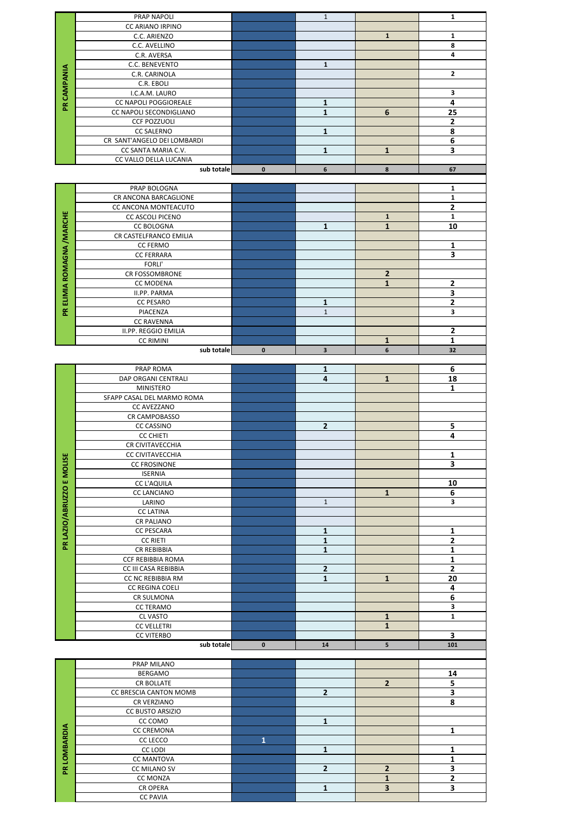|                            | PRAP NAPOLI                 |                | $\mathbf{1}$   |                         | 1                       |
|----------------------------|-----------------------------|----------------|----------------|-------------------------|-------------------------|
|                            | CC ARIANO IRPINO            |                |                |                         |                         |
|                            | C.C. ARIENZO                |                |                | $\mathbf{1}$            | $\mathbf{1}$            |
|                            | C.C. AVELLINO               |                |                |                         | 8                       |
|                            | C.R. AVERSA                 |                |                |                         | 4                       |
|                            |                             |                | $\mathbf 1$    |                         |                         |
|                            | C.C. BENEVENTO              |                |                |                         |                         |
| <b>PR CAMPANIA</b>         | C.R. CARINOLA               |                |                |                         | 2                       |
|                            | C.R. EBOLI                  |                |                |                         |                         |
|                            | I.C.A.M. LAURO              |                |                |                         | 3                       |
|                            | CC NAPOLI POGGIOREALE       |                | $\mathbf{1}$   |                         | 4                       |
|                            | CC NAPOLI SECONDIGLIANO     |                | $\mathbf 1$    | 6                       | 25                      |
|                            | <b>CCF POZZUOLI</b>         |                |                |                         | $\mathbf 2$             |
|                            | <b>CC SALERNO</b>           |                | $\mathbf{1}$   |                         | 8                       |
|                            | CR SANT'ANGELO DEI LOMBARDI |                |                |                         | 6                       |
|                            | CC SANTA MARIA C.V.         |                | 1              | 1                       | $\overline{\mathbf{3}}$ |
|                            | CC VALLO DELLA LUCANIA      |                |                |                         |                         |
|                            | sub totale                  | $\pmb{0}$      | 6              | 8                       | 67                      |
|                            |                             |                |                |                         |                         |
|                            |                             |                |                |                         |                         |
|                            | PRAP BOLOGNA                |                |                |                         | $\mathbf{1}$            |
|                            | CR ANCONA BARCAGLIONE       |                |                |                         | $\mathbf{1}$            |
|                            | CC ANCONA MONTEACUTO        |                |                |                         | $\overline{\mathbf{2}}$ |
|                            | CC ASCOLI PICENO            |                |                | $\mathbf{1}$            | $\mathbf 1$             |
|                            | <b>CC BOLOGNA</b>           |                | $\mathbf{1}$   | $\mathbf{1}$            | 10                      |
|                            | CR CASTELFRANCO EMILIA      |                |                |                         |                         |
|                            | <b>CC FERMO</b>             |                |                |                         | $\mathbf{1}$            |
|                            | <b>CC FERRARA</b>           |                |                |                         | 3                       |
|                            | FORLI'                      |                |                |                         |                         |
|                            | CR FOSSOMBRONE              |                |                | $\mathbf 2$             |                         |
|                            | CC MODENA                   |                |                | $\mathbf{1}$            | $\mathbf 2$             |
|                            |                             |                |                |                         |                         |
|                            | II.PP. PARMA                |                |                |                         | 3                       |
| PR ELIMIA ROMAGNA / MARCHE | <b>CC PESARO</b>            |                | 1              |                         | $\mathbf{2}$            |
|                            | PIACENZA                    |                | $\mathbf 1$    |                         | 3                       |
|                            | <b>CC RAVENNA</b>           |                |                |                         |                         |
|                            | II.PP. REGGIO EMILIA        |                |                |                         | $\mathbf 2$             |
|                            | <b>CC RIMINI</b>            |                |                | $\mathbf{1}$            | $\mathbf{1}$            |
|                            | sub totale                  | $\mathbf 0$    | 3              | 6                       | 32                      |
|                            |                             |                |                |                         |                         |
|                            | PRAP ROMA                   |                | 1              |                         | 6                       |
|                            | DAP ORGANI CENTRALI         |                | 4              | $\mathbf 1$             | 18                      |
|                            | <b>MINISTERO</b>            |                |                |                         | 1                       |
|                            | SFAPP CASAL DEL MARMO ROMA  |                |                |                         |                         |
|                            | CC AVEZZANO                 |                |                |                         |                         |
|                            |                             |                |                |                         |                         |
|                            | CR CAMPOBASSO               |                |                |                         |                         |
|                            | <b>CC CASSINO</b>           |                | $\mathbf{2}$   |                         | 5                       |
|                            |                             |                |                |                         |                         |
|                            | <b>CC CHIETI</b>            |                |                |                         | 4                       |
|                            | CR CIVITAVECCHIA            |                |                |                         |                         |
|                            | CC CIVITAVECCHIA            |                |                |                         | $\mathbf 1$             |
|                            | <b>CC FROSINONE</b>         |                |                |                         | 3                       |
|                            | <b>ISERNIA</b>              |                |                |                         |                         |
|                            | <b>CC L'AQUILA</b>          |                |                |                         | 10                      |
|                            | CC LANCIANO                 |                |                | $\mathbf{1}$            | 6                       |
|                            | LARINO                      |                | $\mathbf{1}$   |                         | 3                       |
|                            | <b>CC LATINA</b>            |                |                |                         |                         |
|                            | CR PALIANO                  |                |                |                         |                         |
|                            |                             |                |                |                         |                         |
|                            | CC PESCARA                  |                | $\mathbf{1}$   |                         | $\mathbf 1$             |
| PR LAZIO/ABRUZZO E MOLISE  | <b>CC RIETI</b>             |                | $\mathbf{1}$   |                         | $\mathbf{2}$            |
|                            | CR REBIBBIA                 |                | $\mathbf 1$    |                         | $\overline{\mathbf{1}}$ |
|                            | CCF REBIBBIA ROMA           |                |                |                         | $\mathbf 1$             |
|                            | CC III CASA REBIBBIA        |                | $\mathbf 2$    |                         | $\mathbf{2}$            |
|                            | CC NC REBIBBIA RM           |                | $\mathbf{1}$   | $\mathbf 1$             | 20                      |
|                            | CC REGINA COELI             |                |                |                         | 4                       |
|                            | CR SULMONA                  |                |                |                         | $\bf 6$                 |
|                            | <b>CC TERAMO</b>            |                |                |                         | 3                       |
|                            | <b>CL VASTO</b>             |                |                | $\mathbf 1$             | $\mathbf{1}$            |
|                            | <b>CC VELLETRI</b>          |                |                | $\mathbf{1}$            |                         |
|                            | <b>CC VITERBO</b>           |                |                |                         | 3                       |
|                            | sub totale                  | $\mathbf 0$    | ${\bf 14}$     | 5                       | 101                     |
|                            |                             |                |                |                         |                         |
|                            | PRAP MILANO                 |                |                |                         |                         |
|                            | BERGAMO                     |                |                |                         |                         |
|                            |                             |                |                |                         | 14                      |
|                            | CR BOLLATE                  |                |                | $\overline{\mathbf{2}}$ | 5                       |
|                            | CC BRESCIA CANTON MOMB      |                | $\overline{2}$ |                         | 3                       |
|                            | CR VERZIANO                 |                |                |                         | 8                       |
|                            | CC BUSTO ARSIZIO            |                |                |                         |                         |
|                            | CC COMO                     |                | $\mathbf{1}$   |                         |                         |
|                            | <b>CC CREMONA</b>           |                |                |                         | $\mathbf{1}$            |
|                            | CC LECCO                    | $\overline{1}$ |                |                         |                         |
|                            | CC LODI                     |                | 1              |                         | $\mathbf{1}$            |
|                            | <b>CC MANTOVA</b>           |                |                |                         | $\mathbf 1$             |
|                            | CC MILANO SV                |                | $\mathbf{2}$   | $\mathbf 2$             | 3                       |
| PR LOMBARDIA               | CC MONZA                    |                |                | $\mathbf{1}$            | $\mathbf 2$             |
|                            | CR OPERA                    |                | $\mathbf{1}$   | 3                       | 3                       |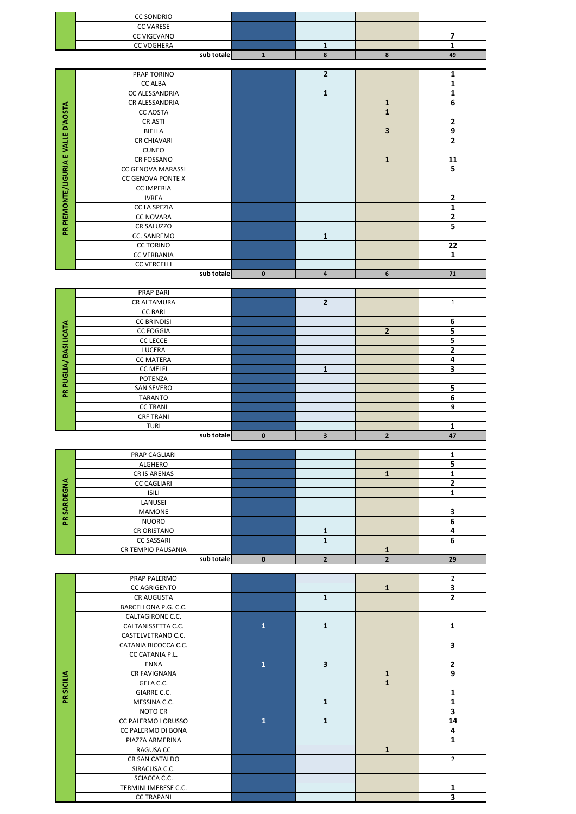|                                     | <b>CC SONDRIO</b><br><b>CC VARESE</b>                     |              |                         |                              |                              |
|-------------------------------------|-----------------------------------------------------------|--------------|-------------------------|------------------------------|------------------------------|
|                                     | CC VIGEVANO                                               |              |                         |                              | 7                            |
|                                     | <b>CC VOGHERA</b><br>sub totale                           | ${\bf 1}$    | $\mathbf{1}$<br>8       | 8                            | $\mathbf{1}$<br>49           |
|                                     |                                                           |              |                         |                              |                              |
|                                     | PRAP TORINO<br><b>CC ALBA</b>                             |              | $\overline{2}$          |                              | 1<br>$\mathbf{1}$            |
|                                     | CC ALESSANDRIA                                            |              | $\mathbf{1}$            |                              | 1                            |
|                                     | CR ALESSANDRIA<br><b>CC AOSTA</b>                         |              |                         | $\mathbf{1}$<br>$\mathbf{1}$ | 6                            |
|                                     | CR ASTI                                                   |              |                         |                              | $\mathbf{2}$                 |
|                                     | <b>BIELLA</b><br><b>CR CHIAVARI</b>                       |              |                         | 3                            | 9<br>2                       |
|                                     | <b>CUNEO</b>                                              |              |                         |                              |                              |
|                                     | CR FOSSANO                                                |              |                         | $\mathbf 1$                  | 11                           |
|                                     | CC GENOVA MARASSI<br>CC GENOVA PONTE X                    |              |                         |                              | 5                            |
|                                     | <b>CC IMPERIA</b>                                         |              |                         |                              |                              |
|                                     | <b>IVREA</b>                                              |              |                         |                              | $\mathbf 2$                  |
|                                     | CC LA SPEZIA<br><b>CC NOVARA</b>                          |              |                         |                              | 1<br>2                       |
| PR PIEMONTE/LIGURIA E VALLE D'AOSTA | CR SALUZZO                                                |              |                         |                              | 5                            |
|                                     | CC. SANREMO<br><b>CC TORINO</b>                           |              | 1                       |                              | 22                           |
|                                     | <b>CC VERBANIA</b>                                        |              |                         |                              | $\mathbf{1}$                 |
|                                     | <b>CC VERCELLI</b><br>sub totale                          | $\mathbf 0$  | $\overline{\mathbf{4}}$ | 6                            | 71                           |
|                                     |                                                           |              |                         |                              |                              |
|                                     | <b>PRAP BARI</b><br>CR ALTAMURA                           |              | $\mathbf 2$             |                              | $\mathbf 1$                  |
|                                     | <b>CC BARI</b>                                            |              |                         |                              |                              |
|                                     | <b>CC BRINDISI</b><br><b>CC FOGGIA</b>                    |              |                         | $\overline{2}$               | 6<br>5                       |
|                                     | <b>CC LECCE</b>                                           |              |                         |                              | 5                            |
|                                     | LUCERA                                                    |              |                         |                              | 2<br>4                       |
|                                     | <b>CC MATERA</b><br><b>CC MELFI</b>                       |              | 1                       |                              | З                            |
| PR PUGLIA/ BASILICATA               | POTENZA                                                   |              |                         |                              |                              |
|                                     | SAN SEVERO<br><b>TARANTO</b>                              |              |                         |                              | 5<br>$\overline{6}$          |
|                                     | <b>CC TRANI</b>                                           |              |                         |                              | $\overline{9}$               |
|                                     | <b>CRF TRANI</b><br><b>TURI</b>                           |              |                         |                              | 1                            |
|                                     | sub totale                                                | $\pmb{0}$    | $\overline{\mathbf{3}}$ | $\mathbf{2}$                 | 47                           |
|                                     | PRAP CAGLIARI                                             |              |                         |                              | $\mathbf{1}$                 |
|                                     | ALGHERO<br><b>CR IS ARENAS</b>                            |              |                         |                              | 5                            |
|                                     | <b>CC CAGLIARI</b>                                        |              |                         | $\mathbf 1$                  | 1<br>$\mathbf{2}$            |
| <b>PR SARDEGNA</b>                  | <b>ISILI</b>                                              |              |                         |                              | 1                            |
|                                     | LANUSEI<br><b>MAMONE</b>                                  |              |                         |                              | 3                            |
|                                     | <b>NUORO</b>                                              |              |                         |                              | 6                            |
|                                     | CR ORISTANO<br><b>CC SASSARI</b>                          |              | 1<br>$\mathbf{1}$       |                              | 4<br>6                       |
|                                     |                                                           |              |                         |                              |                              |
|                                     | CR TEMPIO PAUSANIA                                        |              |                         | $\mathbf 1$                  |                              |
|                                     | sub totale                                                | $\pmb{0}$    | $\overline{2}$          | $\overline{2}$               | 29                           |
|                                     | PRAP PALERMO                                              |              |                         |                              | $\overline{2}$               |
|                                     | <b>CC AGRIGENTO</b>                                       |              |                         | $\mathbf{1}$                 | $\overline{\mathbf{3}}$      |
|                                     | CR AUGUSTA<br>BARCELLONA P.G. C.C.                        |              | $\mathbf{1}$            |                              | $\mathbf{2}$                 |
|                                     | CALTAGIRONE C.C.                                          |              |                         |                              |                              |
|                                     | CALTANISSETTA C.C.<br>CASTELVETRANO C.C.                  | $\mathbf{1}$ | $\mathbf 1$             |                              | $\mathbf{1}$                 |
|                                     | CATANIA BICOCCA C.C.                                      |              |                         |                              | 3                            |
|                                     | CC CATANIA P.L.<br>ENNA                                   | $\mathbf{1}$ | $\overline{\mathbf{3}}$ |                              | $\mathbf 2$                  |
|                                     | CR FAVIGNANA                                              |              |                         | $\mathbf{1}$                 | 9                            |
|                                     | GELA C.C.<br>GIARRE C.C.                                  |              |                         | $\mathbf{1}$                 | 1                            |
| PR SICILIA                          | MESSINA C.C.                                              |              | $\mathbf 1$             |                              | $\overline{\mathbf{1}}$      |
|                                     | NOTO CR                                                   | $\mathbf{1}$ | $\mathbf{1}$            |                              | 3<br>14                      |
|                                     | CC PALERMO LORUSSO<br>CC PALERMO DI BONA                  |              |                         |                              | 4                            |
|                                     | PIAZZA ARMERINA                                           |              |                         |                              | 1                            |
|                                     | RAGUSA CC<br>CR SAN CATALDO                               |              |                         | $\mathbf 1$                  | $\overline{2}$               |
|                                     | SIRACUSA C.C.                                             |              |                         |                              |                              |
|                                     | SCIACCA C.C.<br>TERMINI IMERESE C.C.<br><b>CC TRAPANI</b> |              |                         |                              | 1<br>$\overline{\mathbf{3}}$ |